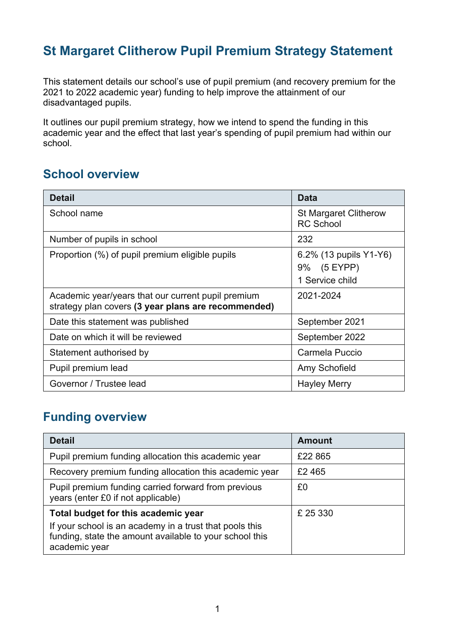## **St Margaret Clitherow Pupil Premium Strategy Statement**

This statement details our school's use of pupil premium (and recovery premium for the 2021 to 2022 academic year) funding to help improve the attainment of our disadvantaged pupils.

It outlines our pupil premium strategy, how we intend to spend the funding in this academic year and the effect that last year's spending of pupil premium had within our school.

#### **School overview**

| <b>Detail</b>                                                                                             | Data                                                        |
|-----------------------------------------------------------------------------------------------------------|-------------------------------------------------------------|
| School name                                                                                               | <b>St Margaret Clitherow</b><br><b>RC School</b>            |
| Number of pupils in school                                                                                | 232                                                         |
| Proportion (%) of pupil premium eligible pupils                                                           | 6.2% (13 pupils Y1-Y6)<br>(5 EYPP)<br>9%<br>1 Service child |
| Academic year/years that our current pupil premium<br>strategy plan covers (3 year plans are recommended) | 2021-2024                                                   |
| Date this statement was published                                                                         | September 2021                                              |
| Date on which it will be reviewed                                                                         | September 2022                                              |
| Statement authorised by                                                                                   | Carmela Puccio                                              |
| Pupil premium lead                                                                                        | Amy Schofield                                               |
| Governor / Trustee lead                                                                                   | <b>Hayley Merry</b>                                         |

### **Funding overview**

| <b>Detail</b>                                                                                                                       | <b>Amount</b> |
|-------------------------------------------------------------------------------------------------------------------------------------|---------------|
| Pupil premium funding allocation this academic year                                                                                 | £22 865       |
| Recovery premium funding allocation this academic year                                                                              | £2465         |
| Pupil premium funding carried forward from previous<br>years (enter £0 if not applicable)                                           | £0            |
| Total budget for this academic year                                                                                                 | £ 25 330      |
| If your school is an academy in a trust that pools this<br>funding, state the amount available to your school this<br>academic year |               |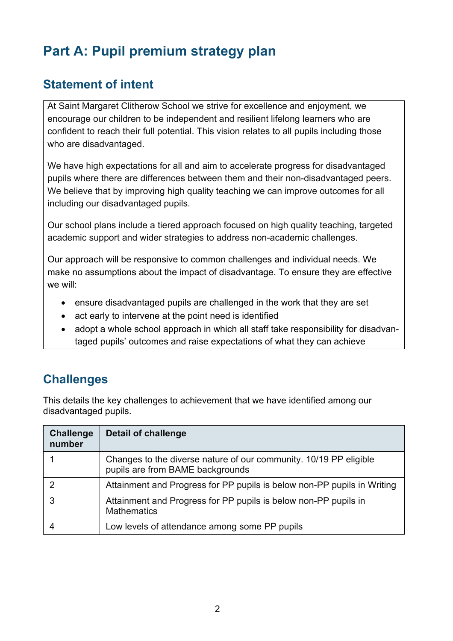# **Part A: Pupil premium strategy plan**

## **Statement of intent**

At Saint Margaret Clitherow School we strive for excellence and enjoyment, we encourage our children to be independent and resilient lifelong learners who are confident to reach their full potential. This vision relates to all pupils including those who are disadvantaged.

We have high expectations for all and aim to accelerate progress for disadvantaged pupils where there are differences between them and their non-disadvantaged peers. We believe that by improving high quality teaching we can improve outcomes for all including our disadvantaged pupils.

Our school plans include a tiered approach focused on high quality teaching, targeted academic support and wider strategies to address non-academic challenges.

Our approach will be responsive to common challenges and individual needs. We make no assumptions about the impact of disadvantage. To ensure they are effective we will:

- ensure disadvantaged pupils are challenged in the work that they are set
- act early to intervene at the point need is identified
- adopt a whole school approach in which all staff take responsibility for disadvantaged pupils' outcomes and raise expectations of what they can achieve

## **Challenges**

This details the key challenges to achievement that we have identified among our disadvantaged pupils.

| <b>Challenge</b><br>number | <b>Detail of challenge</b>                                                                            |
|----------------------------|-------------------------------------------------------------------------------------------------------|
|                            | Changes to the diverse nature of our community. 10/19 PP eligible<br>pupils are from BAME backgrounds |
| 2                          | Attainment and Progress for PP pupils is below non-PP pupils in Writing                               |
| 3                          | Attainment and Progress for PP pupils is below non-PP pupils in<br><b>Mathematics</b>                 |
|                            | Low levels of attendance among some PP pupils                                                         |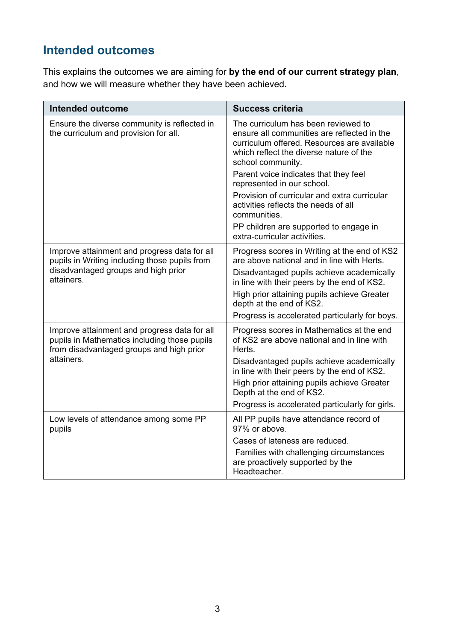## **Intended outcomes**

This explains the outcomes we are aiming for **by the end of our current strategy plan**, and how we will measure whether they have been achieved.

| <b>Intended outcome</b>                                                                                                                                | <b>Success criteria</b>                                                                                                                                                                                                                                                                                                                                                                                                                                    |
|--------------------------------------------------------------------------------------------------------------------------------------------------------|------------------------------------------------------------------------------------------------------------------------------------------------------------------------------------------------------------------------------------------------------------------------------------------------------------------------------------------------------------------------------------------------------------------------------------------------------------|
| Ensure the diverse community is reflected in<br>the curriculum and provision for all.                                                                  | The curriculum has been reviewed to<br>ensure all communities are reflected in the<br>curriculum offered. Resources are available<br>which reflect the diverse nature of the<br>school community.<br>Parent voice indicates that they feel<br>represented in our school.<br>Provision of curricular and extra curricular<br>activities reflects the needs of all<br>communities.<br>PP children are supported to engage in<br>extra-curricular activities. |
| Improve attainment and progress data for all<br>pupils in Writing including those pupils from<br>disadvantaged groups and high prior<br>attainers.     | Progress scores in Writing at the end of KS2<br>are above national and in line with Herts.<br>Disadvantaged pupils achieve academically<br>in line with their peers by the end of KS2.<br>High prior attaining pupils achieve Greater<br>depth at the end of KS2.<br>Progress is accelerated particularly for boys.                                                                                                                                        |
| Improve attainment and progress data for all<br>pupils in Mathematics including those pupils<br>from disadvantaged groups and high prior<br>attainers. | Progress scores in Mathematics at the end<br>of KS2 are above national and in line with<br>Herts.<br>Disadvantaged pupils achieve academically<br>in line with their peers by the end of KS2.<br>High prior attaining pupils achieve Greater<br>Depth at the end of KS2.<br>Progress is accelerated particularly for girls.                                                                                                                                |
| Low levels of attendance among some PP<br>pupils                                                                                                       | All PP pupils have attendance record of<br>97% or above.<br>Cases of lateness are reduced.<br>Families with challenging circumstances<br>are proactively supported by the<br>Headteacher.                                                                                                                                                                                                                                                                  |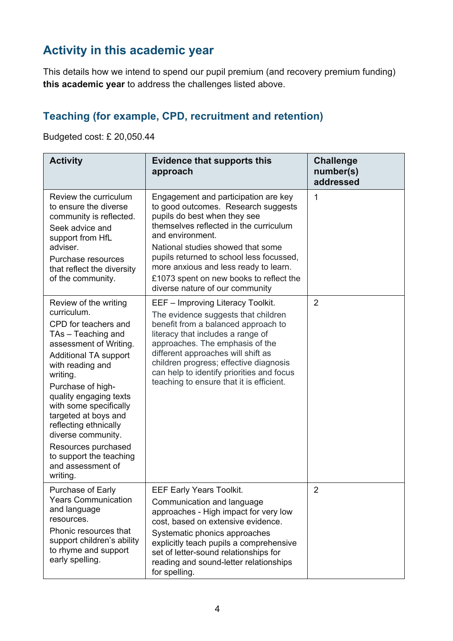## **Activity in this academic year**

This details how we intend to spend our pupil premium (and recovery premium funding) **this academic year** to address the challenges listed above.

#### **Teaching (for example, CPD, recruitment and retention)**

Budgeted cost: £ 20,050.44

| <b>Activity</b>                                                                                                                                                                                                                                                                                                                                                                                                 | <b>Evidence that supports this</b><br>approach                                                                                                                                                                                                                                                                                                                                    | <b>Challenge</b><br>number(s)<br>addressed |
|-----------------------------------------------------------------------------------------------------------------------------------------------------------------------------------------------------------------------------------------------------------------------------------------------------------------------------------------------------------------------------------------------------------------|-----------------------------------------------------------------------------------------------------------------------------------------------------------------------------------------------------------------------------------------------------------------------------------------------------------------------------------------------------------------------------------|--------------------------------------------|
| Review the curriculum<br>to ensure the diverse<br>community is reflected.<br>Seek advice and<br>support from HfL<br>adviser.<br>Purchase resources<br>that reflect the diversity<br>of the community.                                                                                                                                                                                                           | Engagement and participation are key<br>to good outcomes. Research suggests<br>pupils do best when they see<br>themselves reflected in the curriculum<br>and environment.<br>National studies showed that some<br>pupils returned to school less focussed,<br>more anxious and less ready to learn.<br>£1073 spent on new books to reflect the<br>diverse nature of our community | 1                                          |
| Review of the writing<br>curriculum.<br>CPD for teachers and<br>TAs - Teaching and<br>assessment of Writing.<br><b>Additional TA support</b><br>with reading and<br>writing.<br>Purchase of high-<br>quality engaging texts<br>with some specifically<br>targeted at boys and<br>reflecting ethnically<br>diverse community.<br>Resources purchased<br>to support the teaching<br>and assessment of<br>writing. | EEF - Improving Literacy Toolkit.<br>The evidence suggests that children<br>benefit from a balanced approach to<br>literacy that includes a range of<br>approaches. The emphasis of the<br>different approaches will shift as<br>children progress; effective diagnosis<br>can help to identify priorities and focus<br>teaching to ensure that it is efficient.                  | $\overline{2}$                             |
| Purchase of Early<br><b>Years Communication</b><br>and language<br>resources.<br>Phonic resources that<br>support children's ability<br>to rhyme and support<br>early spelling.                                                                                                                                                                                                                                 | <b>EEF Early Years Toolkit.</b><br>Communication and language<br>approaches - High impact for very low<br>cost, based on extensive evidence.<br>Systematic phonics approaches<br>explicitly teach pupils a comprehensive<br>set of letter-sound relationships for<br>reading and sound-letter relationships<br>for spelling.                                                      | $\overline{2}$                             |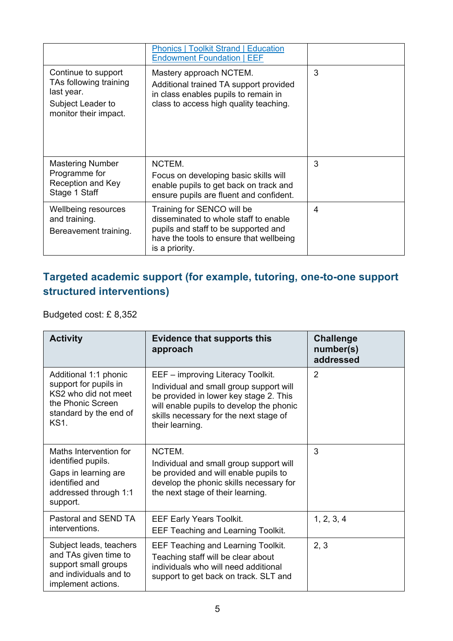|                                                                                                           | <b>Phonics   Toolkit Strand   Education</b><br><b>Endowment Foundation   EEF</b>                                                                                         |   |
|-----------------------------------------------------------------------------------------------------------|--------------------------------------------------------------------------------------------------------------------------------------------------------------------------|---|
| Continue to support<br>TAs following training<br>last year.<br>Subject Leader to<br>monitor their impact. | Mastery approach NCTEM.<br>Additional trained TA support provided<br>in class enables pupils to remain in<br>class to access high quality teaching.                      | 3 |
| <b>Mastering Number</b><br>Programme for<br>Reception and Key<br>Stage 1 Staff                            | NCTEM.<br>Focus on developing basic skills will<br>enable pupils to get back on track and<br>ensure pupils are fluent and confident.                                     | 3 |
| Wellbeing resources<br>and training.<br>Bereavement training.                                             | Training for SENCO will be<br>disseminated to whole staff to enable<br>pupils and staff to be supported and<br>have the tools to ensure that wellbeing<br>is a priority. | 4 |

#### **Targeted academic support (for example, tutoring, one-to-one support structured interventions)**

Budgeted cost: £ 8,352

| <b>Activity</b>                                                                                                               | <b>Evidence that supports this</b><br>approach                                                                                                                                                                                  | <b>Challenge</b><br>number(s)<br>addressed |
|-------------------------------------------------------------------------------------------------------------------------------|---------------------------------------------------------------------------------------------------------------------------------------------------------------------------------------------------------------------------------|--------------------------------------------|
| Additional 1:1 phonic<br>support for pupils in<br>KS2 who did not meet<br>the Phonic Screen<br>standard by the end of<br>KS1. | EEF - improving Literacy Toolkit.<br>Individual and small group support will<br>be provided in lower key stage 2. This<br>will enable pupils to develop the phonic<br>skills necessary for the next stage of<br>their learning. | $\overline{2}$                             |
| Maths Intervention for<br>identified pupils.<br>Gaps in learning are<br>identified and<br>addressed through 1:1<br>support.   | NCTEM.<br>Individual and small group support will<br>be provided and will enable pupils to<br>develop the phonic skills necessary for<br>the next stage of their learning.                                                      | 3                                          |
| Pastoral and SEND TA<br>interventions.                                                                                        | <b>EEF Early Years Toolkit.</b><br><b>EEF Teaching and Learning Toolkit.</b>                                                                                                                                                    | 1, 2, 3, 4                                 |
| Subject leads, teachers<br>and TAs given time to<br>support small groups<br>and individuals and to<br>implement actions.      | <b>EEF Teaching and Learning Toolkit.</b><br>Teaching staff will be clear about<br>individuals who will need additional<br>support to get back on track. SLT and                                                                | 2, 3                                       |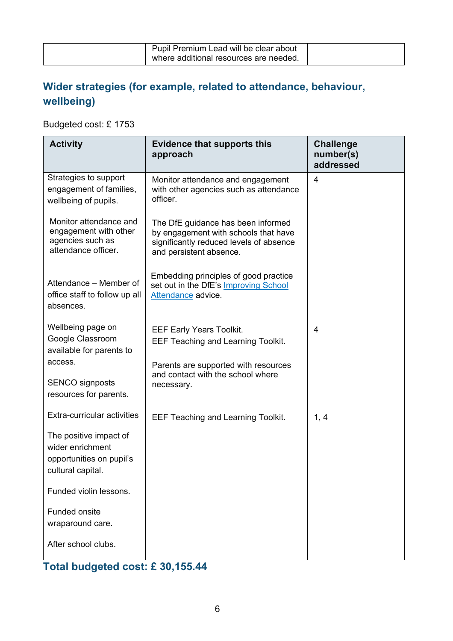| Pupil Premium Lead will be clear about |  |
|----------------------------------------|--|
| where additional resources are needed. |  |

#### **Wider strategies (for example, related to attendance, behaviour, wellbeing)**

Budgeted cost: £ 1753

| <b>Activity</b>                                                                             | <b>Evidence that supports this</b><br>approach                                                                                                   | <b>Challenge</b><br>number(s)<br>addressed |
|---------------------------------------------------------------------------------------------|--------------------------------------------------------------------------------------------------------------------------------------------------|--------------------------------------------|
| Strategies to support<br>engagement of families,<br>wellbeing of pupils.                    | Monitor attendance and engagement<br>with other agencies such as attendance<br>officer.                                                          | 4                                          |
| Monitor attendance and<br>engagement with other<br>agencies such as<br>attendance officer.  | The DfE guidance has been informed<br>by engagement with schools that have<br>significantly reduced levels of absence<br>and persistent absence. |                                            |
| Attendance – Member of<br>office staff to follow up all<br>absences.                        | Embedding principles of good practice<br>set out in the DfE's Improving School<br>Attendance advice.                                             |                                            |
| Wellbeing page on<br>Google Classroom<br>available for parents to                           | <b>EEF Early Years Toolkit.</b><br><b>EEF Teaching and Learning Toolkit.</b>                                                                     | 4                                          |
| access.<br><b>SENCO</b> signposts<br>resources for parents.                                 | Parents are supported with resources<br>and contact with the school where<br>necessary.                                                          |                                            |
| Extra-curricular activities                                                                 | <b>EEF Teaching and Learning Toolkit.</b>                                                                                                        | 1, 4                                       |
| The positive impact of<br>wider enrichment<br>opportunities on pupil's<br>cultural capital. |                                                                                                                                                  |                                            |
| Funded violin lessons.                                                                      |                                                                                                                                                  |                                            |
| Funded onsite<br>wraparound care.                                                           |                                                                                                                                                  |                                            |
| After school clubs.                                                                         |                                                                                                                                                  |                                            |

## **Total budgeted cost: £ 30,155.44**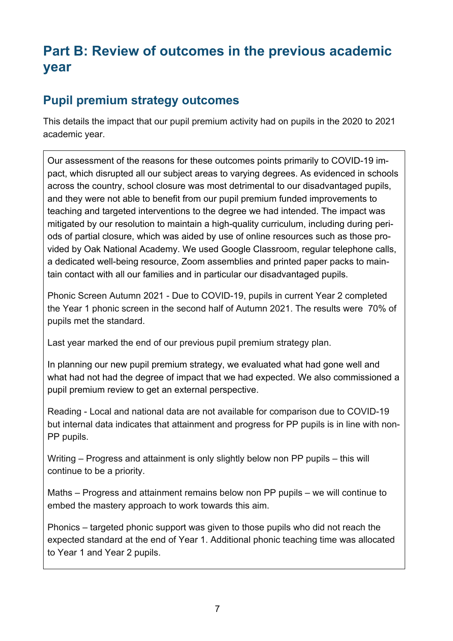## **Part B: Review of outcomes in the previous academic year**

#### **Pupil premium strategy outcomes**

This details the impact that our pupil premium activity had on pupils in the 2020 to 2021 academic year.

Our assessment of the reasons for these outcomes points primarily to COVID-19 impact, which disrupted all our subject areas to varying degrees. As evidenced in schools across the country, school closure was most detrimental to our disadvantaged pupils, and they were not able to benefit from our pupil premium funded improvements to teaching and targeted interventions to the degree we had intended. The impact was mitigated by our resolution to maintain a high-quality curriculum, including during periods of partial closure, which was aided by use of online resources such as those provided by Oak National Academy. We used Google Classroom, regular telephone calls, a dedicated well-being resource, Zoom assemblies and printed paper packs to maintain contact with all our families and in particular our disadvantaged pupils.

Phonic Screen Autumn 2021 - Due to COVID-19, pupils in current Year 2 completed the Year 1 phonic screen in the second half of Autumn 2021. The results were 70% of pupils met the standard.

Last year marked the end of our previous pupil premium strategy plan.

In planning our new pupil premium strategy, we evaluated what had gone well and what had not had the degree of impact that we had expected. We also commissioned a pupil premium review to get an external perspective.

Reading - Local and national data are not available for comparison due to COVID-19 but internal data indicates that attainment and progress for PP pupils is in line with non-PP pupils.

Writing – Progress and attainment is only slightly below non PP pupils – this will continue to be a priority.

Maths – Progress and attainment remains below non PP pupils – we will continue to embed the mastery approach to work towards this aim.

Phonics – targeted phonic support was given to those pupils who did not reach the expected standard at the end of Year 1. Additional phonic teaching time was allocated to Year 1 and Year 2 pupils.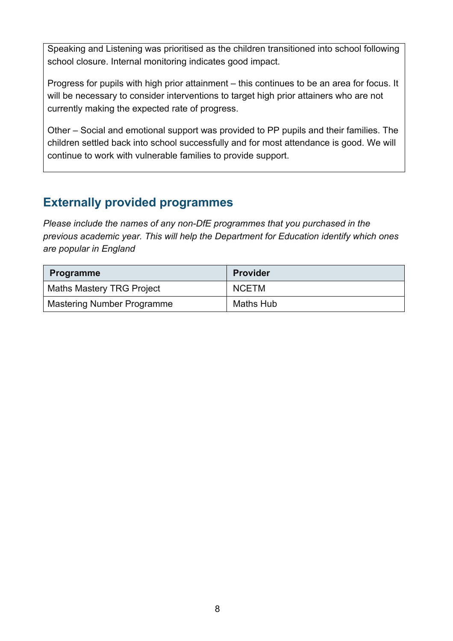Speaking and Listening was prioritised as the children transitioned into school following school closure. Internal monitoring indicates good impact.

Progress for pupils with high prior attainment – this continues to be an area for focus. It will be necessary to consider interventions to target high prior attainers who are not currently making the expected rate of progress.

Other – Social and emotional support was provided to PP pupils and their families. The children settled back into school successfully and for most attendance is good. We will continue to work with vulnerable families to provide support.

## **Externally provided programmes**

*Please include the names of any non-DfE programmes that you purchased in the previous academic year. This will help the Department for Education identify which ones are popular in England*

| <b>Programme</b>                  | <b>Provider</b>  |
|-----------------------------------|------------------|
| <b>Maths Mastery TRG Project</b>  | <b>NCETM</b>     |
| <b>Mastering Number Programme</b> | <b>Maths Hub</b> |